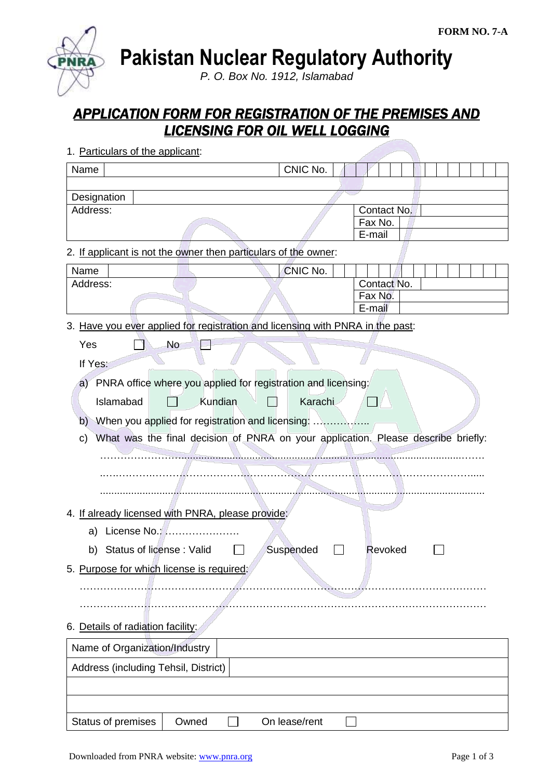**Pakistan Nuclear Regulatory Authority**

*P. O. Box No. 1912, Islamabad*

## *APPLICATION FORM FOR REGISTRATION OF THE PREMISES AND LICENSING FOR OIL WELL LOGGING*

| Name                                                                           |         | CNIC No.      |                                                                                   |
|--------------------------------------------------------------------------------|---------|---------------|-----------------------------------------------------------------------------------|
| Designation                                                                    |         |               |                                                                                   |
| Address:                                                                       |         |               | Contact No.<br>Fax No.<br>E-mail                                                  |
| 2. If applicant is not the owner then particulars of the owner:                |         |               |                                                                                   |
| Name                                                                           |         | CNIC No.      |                                                                                   |
| Address:                                                                       |         |               | Contact No.<br>Fax No.<br>E-mail                                                  |
| 3. Have you ever applied for registration and licensing with PNRA in the past: |         |               |                                                                                   |
| Yes<br>No                                                                      |         |               |                                                                                   |
| If Yes:                                                                        |         |               |                                                                                   |
| a) PNRA office where you applied for registration and licensing:               |         |               |                                                                                   |
| Islamabad                                                                      | Kundian | Karachi       |                                                                                   |
| b)                                                                             |         |               |                                                                                   |
| C)                                                                             |         |               | What was the final decision of PNRA on your application. Please describe briefly: |
|                                                                                |         |               |                                                                                   |
|                                                                                |         |               |                                                                                   |
|                                                                                |         |               |                                                                                   |
| 4. If already licensed with PNRA, please provide:                              |         |               |                                                                                   |
| License No.:<br>a)                                                             |         |               |                                                                                   |
| Status of license: Valid<br>b)                                                 |         | Suspended     | Revoked                                                                           |
| 5. Purpose for which license is required:                                      |         |               |                                                                                   |
|                                                                                |         |               |                                                                                   |
|                                                                                |         |               |                                                                                   |
| 6. Details of radiation facility:                                              |         |               |                                                                                   |
| Name of Organization/Industry                                                  |         |               |                                                                                   |
| Address (including Tehsil, District)                                           |         |               |                                                                                   |
|                                                                                |         |               |                                                                                   |
|                                                                                |         |               |                                                                                   |
| Status of premises                                                             | Owned   | On lease/rent |                                                                                   |

1. Particulars of the applicant: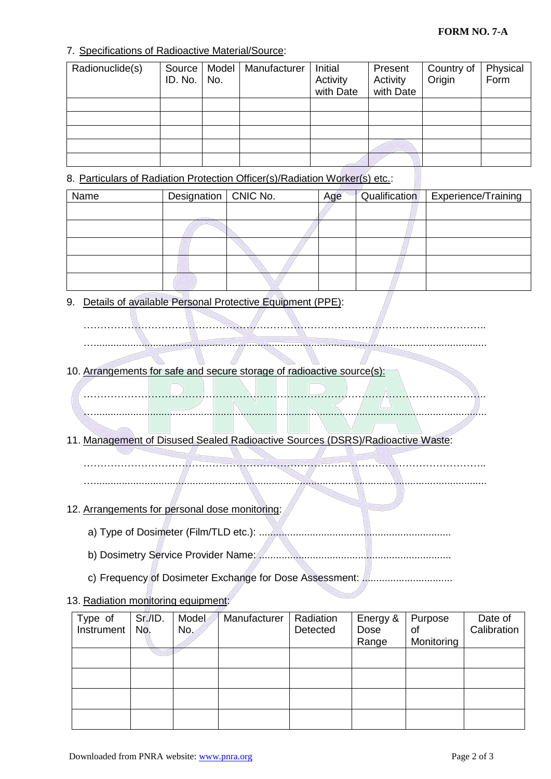## 7. Specifications of Radioactive Material/Source:

| Radionuclide(s) | Source  <br>ID. No. | Model<br>No. | Manufacturer | Initial<br>Activity<br>with Date | Present<br>Activity<br>with Date | Country of<br>Origin | Physical<br>Form |
|-----------------|---------------------|--------------|--------------|----------------------------------|----------------------------------|----------------------|------------------|
|                 |                     |              |              |                                  |                                  |                      |                  |
|                 |                     |              |              |                                  |                                  |                      |                  |
|                 |                     |              |              |                                  |                                  |                      |                  |
|                 |                     |              |              |                                  |                                  |                      |                  |
|                 |                     |              |              |                                  |                                  |                      |                  |

8. Particulars of Radiation Protection Officer(s)/Radiation Worker(s) etc.:

| Name | Designation   CNIC No. | Age | Qualification | Experience/Training |
|------|------------------------|-----|---------------|---------------------|
|      |                        |     |               |                     |
|      |                        |     |               |                     |
|      |                        |     |               |                     |
|      |                        |     |               |                     |
|      |                        |     |               |                     |

9. Details of available Personal Protective Equipment (PPE):

10. Arrangements for safe and secure storage of radioactive source(s):

……………………………………………………………………………………………………….. …...........................................................................................................................................

………………………………………………………………………………………………………..

…...........................................................................................................................................

11. Management of Disused Sealed Radioactive Sources (DSRS)/Radioactive Waste:

……………………………………………………………………………………………………….. …...........................................................................................................................................

- 12. Arrangements for personal dose monitoring:
	- a) Type of Dosimeter (Film/TLD etc.): ....................................................................
		- b) Dosimetry Service Provider Name: ....................................................................
		- c) Frequency of Dosimeter Exchange for Dose Assessment: ................................
- 13. Radiation monitoring equipment:

| Type of<br>Instrument | Sr.I.D.<br>No. | Model<br>No. | Manufacturer | Radiation<br>Detected | Energy &<br>Dose | Purpose<br>of | Date of<br>Calibration |
|-----------------------|----------------|--------------|--------------|-----------------------|------------------|---------------|------------------------|
|                       |                |              |              |                       | Range            | Monitoring    |                        |
|                       |                |              |              |                       |                  |               |                        |
|                       |                |              |              |                       |                  |               |                        |
|                       |                |              |              |                       |                  |               |                        |
|                       |                |              |              |                       |                  |               |                        |
|                       |                |              |              |                       |                  |               |                        |
|                       |                |              |              |                       |                  |               |                        |
|                       |                |              |              |                       |                  |               |                        |
|                       |                |              |              |                       |                  |               |                        |